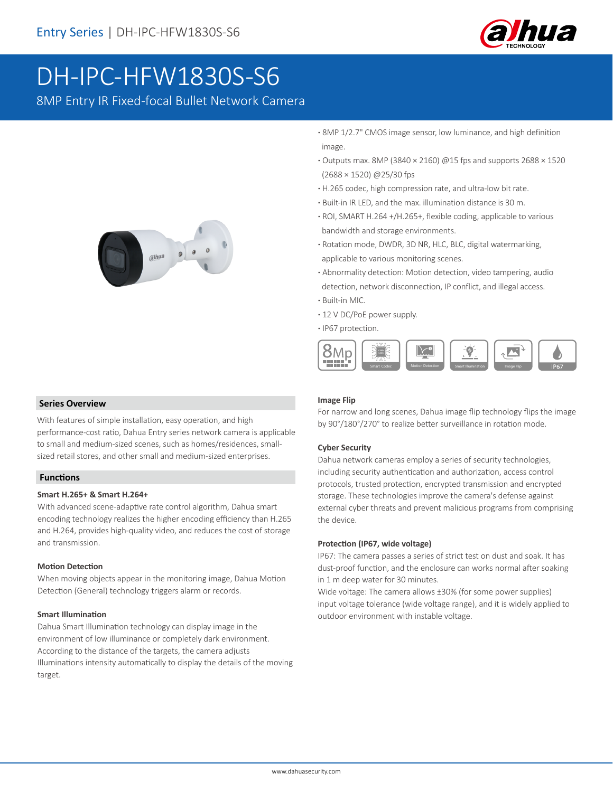

# DH-IPC-HFW1830S-S6

8MP Entry IR Fixed-focal Bullet Network Camera



- **·** 8MP 1/2.7" CMOS image sensor, low luminance, and high definition image.
- **·** Outputs max. 8MP (3840 × 2160) @15 fps and supports 2688 × 1520 (2688 × 1520) @25/30 fps
- **·** H.265 codec, high compression rate, and ultra-low bit rate.
- **·** Built-in IR LED, and the max. illumination distance is 30 m.
- **·** ROI, SMART H.264 +/H.265+, flexible coding, applicable to various bandwidth and storage environments.
- **·** Rotation mode, DWDR, 3D NR, HLC, BLC, digital watermarking, applicable to various monitoring scenes.
- **·** Abnormality detection: Motion detection, video tampering, audio detection, network disconnection, IP conflict, and illegal access.
- **·** Built-in MIC.
- **·** 12 V DC/PoE power supply.
- **·** IP67 protection.



## **Series Overview**

With features of simple installation, easy operation, and high performance-cost ratio, Dahua Entry series network camera is applicable to small and medium-sized scenes, such as homes/residences, smallsized retail stores, and other small and medium-sized enterprises.

#### **Functions**

#### **Smart H.265+ & Smart H.264+**

With advanced scene-adaptive rate control algorithm, Dahua smart encoding technology realizes the higher encoding efficiency than H.265 and H.264, provides high-quality video, and reduces the cost of storage and transmission.

#### **Motion Detection**

When moving objects appear in the monitoring image, Dahua Motion Detection (General) technology triggers alarm or records.

#### **Smart Illumination**

Dahua Smart Illumination technology can display image in the environment of low illuminance or completely dark environment. According to the distance of the targets, the camera adjusts Illuminations intensity automatically to display the details of the moving target.

#### **Image Flip**

For narrow and long scenes, Dahua image flip technology flips the image by 90°/180°/270° to realize better surveillance in rotation mode.

#### **Cyber Security**

Dahua network cameras employ a series of security technologies, including security authentication and authorization, access control protocols, trusted protection, encrypted transmission and encrypted storage. These technologies improve the camera's defense against external cyber threats and prevent malicious programs from comprising the device.

#### **Protection (IP67, wide voltage)**

IP67: The camera passes a series of strict test on dust and soak. It has dust-proof function, and the enclosure can works normal after soaking in 1 m deep water for 30 minutes.

Wide voltage: The camera allows ±30% (for some power supplies) input voltage tolerance (wide voltage range), and it is widely applied to outdoor environment with instable voltage.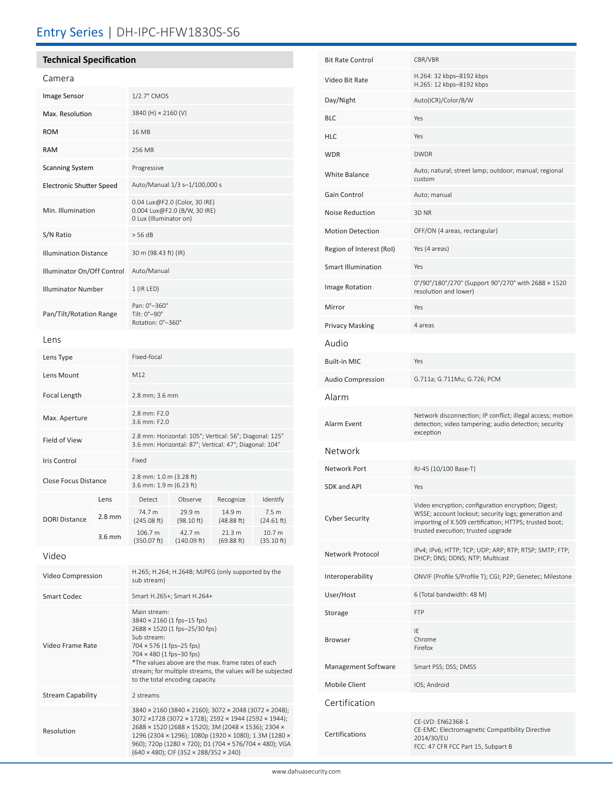# Entry Series | DH-IPC-HFW1830S-S6

| <b>Technical Specification</b>  |                  |                                                                                                                                                                                                                                                                                                           |                       |                      |                                 |  |
|---------------------------------|------------------|-----------------------------------------------------------------------------------------------------------------------------------------------------------------------------------------------------------------------------------------------------------------------------------------------------------|-----------------------|----------------------|---------------------------------|--|
| Camera                          |                  |                                                                                                                                                                                                                                                                                                           |                       |                      |                                 |  |
| <b>Image Sensor</b>             |                  | 1/2.7" CMOS                                                                                                                                                                                                                                                                                               |                       |                      |                                 |  |
| Max. Resolution                 |                  | 3840 (H) × 2160 (V)                                                                                                                                                                                                                                                                                       |                       |                      |                                 |  |
| <b>ROM</b>                      |                  | 16 MB                                                                                                                                                                                                                                                                                                     |                       |                      |                                 |  |
| <b>RAM</b>                      |                  | 256 MB                                                                                                                                                                                                                                                                                                    |                       |                      |                                 |  |
| <b>Scanning System</b>          |                  | Progressive                                                                                                                                                                                                                                                                                               |                       |                      |                                 |  |
| <b>Electronic Shutter Speed</b> |                  | Auto/Manual 1/3 s-1/100,000 s                                                                                                                                                                                                                                                                             |                       |                      |                                 |  |
| Min. Illumination               |                  | 0.04 Lux@F2.0 (Color, 30 IRE)<br>0.004 Lux@F2.0 (B/W, 30 IRE)<br>0 Lux (Illuminator on)                                                                                                                                                                                                                   |                       |                      |                                 |  |
| S/N Ratio                       |                  | $>$ 56 dB                                                                                                                                                                                                                                                                                                 |                       |                      |                                 |  |
| <b>Illumination Distance</b>    |                  | 30 m (98.43 ft) (IR)                                                                                                                                                                                                                                                                                      |                       |                      |                                 |  |
| Illuminator On/Off Control      |                  | Auto/Manual                                                                                                                                                                                                                                                                                               |                       |                      |                                 |  |
| <b>Illuminator Number</b>       |                  | 1 (IR LED)                                                                                                                                                                                                                                                                                                |                       |                      |                                 |  |
| Pan/Tilt/Rotation Range         |                  | Pan: 0°-360°<br>Tilt: 0°-90°<br>Rotation: 0°-360°                                                                                                                                                                                                                                                         |                       |                      |                                 |  |
| Lens                            |                  |                                                                                                                                                                                                                                                                                                           |                       |                      |                                 |  |
| Lens Type                       |                  | Fixed-focal                                                                                                                                                                                                                                                                                               |                       |                      |                                 |  |
| Lens Mount                      |                  | M12                                                                                                                                                                                                                                                                                                       |                       |                      |                                 |  |
| Focal Length                    |                  | 2.8 mm; 3.6 mm                                                                                                                                                                                                                                                                                            |                       |                      |                                 |  |
| Max. Aperture                   |                  | 2.8 mm: F2.0<br>3.6 mm: F2.0                                                                                                                                                                                                                                                                              |                       |                      |                                 |  |
| Field of View                   |                  | 2.8 mm: Horizontal: 105°; Vertical: 56°; Diagonal: 125°<br>3.6 mm: Horizontal: 87°; Vertical: 47°; Diagonal: 104°                                                                                                                                                                                         |                       |                      |                                 |  |
| <b>Iris Control</b>             |                  | Fixed                                                                                                                                                                                                                                                                                                     |                       |                      |                                 |  |
| <b>Close Focus Distance</b>     |                  | 2.8 mm: 1.0 m (3.28 ft)<br>3.6 mm: 1.9 m (6.23 ft)                                                                                                                                                                                                                                                        |                       |                      |                                 |  |
|                                 | Lens             | Detect                                                                                                                                                                                                                                                                                                    | Observe               | Recognize            | identify                        |  |
| <b>DORI Distance</b>            | $2.8 \text{ mm}$ | 74.7 m<br>(245.08 ft)                                                                                                                                                                                                                                                                                     | 29.9 m<br>(98.10 ft)  | 14.9 m<br>(48.88 ft) | 7.5 m<br>(24.61 ft)             |  |
|                                 | 3.6 mm           | 106.7 m<br>(350.07 ft)                                                                                                                                                                                                                                                                                    | 42.7 m<br>(140.09 ft) | 21.3 m<br>(69.88 ft) | 10.7 <sub>m</sub><br>(35.10 ft) |  |
| Video                           |                  |                                                                                                                                                                                                                                                                                                           |                       |                      |                                 |  |
| Video Compression               |                  | H.265; H.264; H.264B; MJPEG (only supported by the<br>sub stream)                                                                                                                                                                                                                                         |                       |                      |                                 |  |
| <b>Smart Codec</b>              |                  | Smart H.265+; Smart H.264+                                                                                                                                                                                                                                                                                |                       |                      |                                 |  |
| Video Frame Rate                |                  | Main stream:<br>3840 × 2160 (1 fps-15 fps)<br>2688 × 1520 (1 fps-25/30 fps)<br>Sub stream:<br>704 × 576 (1 fps-25 fps)<br>704 × 480 (1 fps-30 fps)<br>*The values above are the max. frame rates of each<br>stream; for multiple streams, the values will be subjected<br>to the total encoding capacity. |                       |                      |                                 |  |
| <b>Stream Capability</b>        |                  | 2 streams                                                                                                                                                                                                                                                                                                 |                       |                      |                                 |  |

Resolution

| <b>Bit Rate Control</b>   | CBR/VBR                                                                                                                                                                                                     |  |  |  |  |
|---------------------------|-------------------------------------------------------------------------------------------------------------------------------------------------------------------------------------------------------------|--|--|--|--|
| Video Bit Rate            | H.264: 32 kbps-8192 kbps<br>H.265: 12 kbps-8192 kbps                                                                                                                                                        |  |  |  |  |
| Day/Night                 | Auto(ICR)/Color/B/W                                                                                                                                                                                         |  |  |  |  |
| <b>BLC</b>                | Yes                                                                                                                                                                                                         |  |  |  |  |
| <b>HLC</b>                | Yes                                                                                                                                                                                                         |  |  |  |  |
| <b>WDR</b>                | <b>DWDR</b>                                                                                                                                                                                                 |  |  |  |  |
| White Balance             | Auto; natural; street lamp; outdoor; manual; regional<br>custom                                                                                                                                             |  |  |  |  |
| Gain Control              | Auto; manual                                                                                                                                                                                                |  |  |  |  |
| Noise Reduction           | 3D <sub>NR</sub>                                                                                                                                                                                            |  |  |  |  |
| <b>Motion Detection</b>   | OFF/ON (4 areas, rectangular)                                                                                                                                                                               |  |  |  |  |
| Region of Interest (RoI)  | Yes (4 areas)                                                                                                                                                                                               |  |  |  |  |
| <b>Smart Illumination</b> | Yes                                                                                                                                                                                                         |  |  |  |  |
| Image Rotation            | 0°/90°/180°/270° (Support 90°/270° with 2688 × 1520<br>resolution and lower)                                                                                                                                |  |  |  |  |
| Mirror                    | Yes                                                                                                                                                                                                         |  |  |  |  |
| <b>Privacy Masking</b>    | 4 areas                                                                                                                                                                                                     |  |  |  |  |
| Audio                     |                                                                                                                                                                                                             |  |  |  |  |
| <b>Built-in MIC</b>       | Yes                                                                                                                                                                                                         |  |  |  |  |
| <b>Audio Compression</b>  | G.711a; G.711Mu; G.726; PCM                                                                                                                                                                                 |  |  |  |  |
| Alarm                     |                                                                                                                                                                                                             |  |  |  |  |
| Alarm Event               | Network disconnection; IP conflict; illegal access; motion<br>detection; video tampering; audio detection; security<br>exception                                                                            |  |  |  |  |
| Network                   |                                                                                                                                                                                                             |  |  |  |  |
| Network Port              | RJ-45 (10/100 Base-T)                                                                                                                                                                                       |  |  |  |  |
| <b>SDK and API</b>        | Yes                                                                                                                                                                                                         |  |  |  |  |
| <b>Cyber Security</b>     | Video encryption; configuration encryption; Digest;<br>WSSE; account lockout; security logs; generation and<br>importing of X.509 certification; HTTPS; trusted boot;<br>trusted execution; trusted upgrade |  |  |  |  |
| Network Protocol          | IPv4; IPv6; HTTP; TCP; UDP; ARP; RTP; RTSP; SMTP; FTP;<br>DHCP; DNS; DDNS; NTP; Multicast                                                                                                                   |  |  |  |  |
| Interoperability          | ONVIF (Profile S/Profile T); CGI; P2P; Genetec; Milestone                                                                                                                                                   |  |  |  |  |
| User/Host                 | 6 (Total bandwidth: 48 M)                                                                                                                                                                                   |  |  |  |  |
| Storage                   | FTP                                                                                                                                                                                                         |  |  |  |  |
| <b>Browser</b>            | IE<br>Chrome<br>Firefox                                                                                                                                                                                     |  |  |  |  |
| Management Software       | Smart PSS; DSS; DMSS                                                                                                                                                                                        |  |  |  |  |
| Mobile Client             | IOS; Android                                                                                                                                                                                                |  |  |  |  |
| Certification             |                                                                                                                                                                                                             |  |  |  |  |
| Certifications            | CE-LVD: EN62368-1<br>CE-EMC: Electromagnetic Compatibility Directive<br>2014/30/EU<br>FCC: 47 CFR FCC Part 15, Subpart B                                                                                    |  |  |  |  |

3840 × 2160 (3840 × 2160); 3072 × 2048 (3072 × 2048); 3072 ×1728 (3072 × 1728); 2592 × 1944 (2592 × 1944); 2688 × 1520 (2688 × 1520); 3M (2048 × 1536); 2304 × 1296 (2304 × 1296); 1080p (1920 × 1080); 1.3M (1280 × 960); 720p (1280 × 720); D1 (704 × 576/704 × 480); VGA

(640 × 480); CIF (352 × 288/352 × 240)